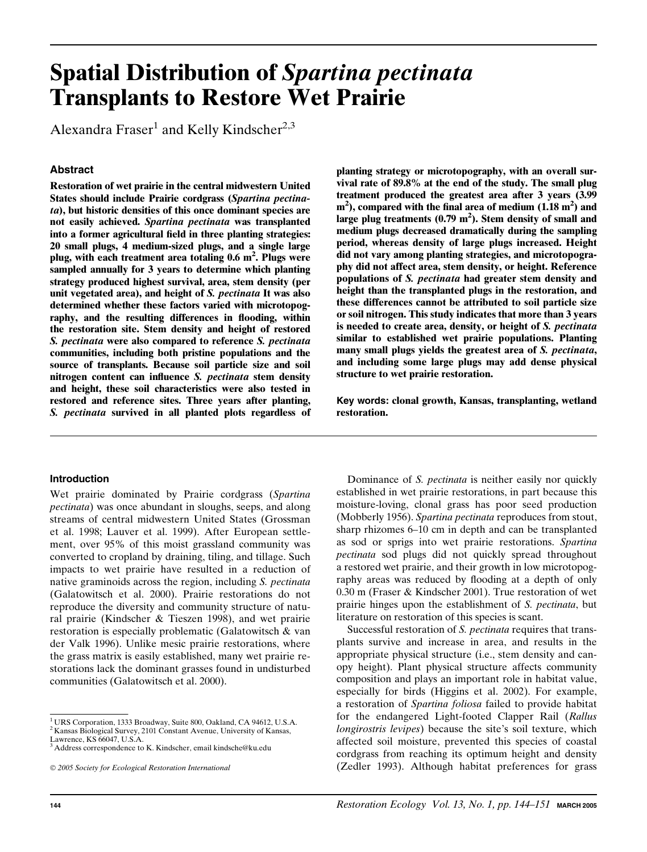# Spatial Distribution of Spartina pectinata Transplants to Restore Wet Prairie

Alexandra Fraser<sup>1</sup> and Kelly Kindscher<sup>2,3</sup>

## Abstract

Restoration of wet prairie in the central midwestern United States should include Prairie cordgrass (Spartina pectinata), but historic densities of this once dominant species are not easily achieved. Spartina pectinata was transplanted into a former agricultural field in three planting strategies: 20 small plugs, 4 medium-sized plugs, and a single large plug, with each treatment area totaling 0.6 m<sup>2</sup>. Plugs were sampled annually for 3 years to determine which planting strategy produced highest survival, area, stem density (per unit vegetated area), and height of S. pectinata It was also determined whether these factors varied with microtopography, and the resulting differences in flooding, within the restoration site. Stem density and height of restored S. pectinata were also compared to reference S. pectinata communities, including both pristine populations and the source of transplants. Because soil particle size and soil nitrogen content can influence S. pectinata stem density and height, these soil characteristics were also tested in restored and reference sites. Three years after planting, S. pectinata survived in all planted plots regardless of

## Introduction

Wet prairie dominated by Prairie cordgrass (Spartina pectinata) was once abundant in sloughs, seeps, and along streams of central midwestern United States (Grossman et al. 1998; Lauver et al. 1999). After European settlement, over 95% of this moist grassland community was converted to cropland by draining, tiling, and tillage. Such impacts to wet prairie have resulted in a reduction of native graminoids across the region, including S. pectinata (Galatowitsch et al. 2000). Prairie restorations do not reproduce the diversity and community structure of natural prairie (Kindscher & Tieszen 1998), and wet prairie restoration is especially problematic (Galatowitsch & van der Valk 1996). Unlike mesic prairie restorations, where the grass matrix is easily established, many wet prairie restorations lack the dominant grasses found in undisturbed communities (Galatowitsch et al. 2000).

planting strategy or microtopography, with an overall survival rate of 89.8% at the end of the study. The small plug treatment produced the greatest area after 3 years (3.99  $m<sup>2</sup>$ ), compared with the final area of medium  $(1.18 m<sup>2</sup>)$  and large plug treatments  $(0.79 \text{ m}^2)$ . Stem density of small and medium plugs decreased dramatically during the sampling period, whereas density of large plugs increased. Height did not vary among planting strategies, and microtopography did not affect area, stem density, or height. Reference populations of S. pectinata had greater stem density and height than the transplanted plugs in the restoration, and these differences cannot be attributed to soil particle size or soil nitrogen. This study indicates that more than 3 years is needed to create area, density, or height of S. pectinata similar to established wet prairie populations. Planting many small plugs yields the greatest area of S. pectinata, and including some large plugs may add dense physical structure to wet prairie restoration.

Key words: clonal growth, Kansas, transplanting, wetland restoration.

Dominance of S. pectinata is neither easily nor quickly established in wet prairie restorations, in part because this moisture-loving, clonal grass has poor seed production (Mobberly 1956). Spartina pectinata reproduces from stout, sharp rhizomes 6–10 cm in depth and can be transplanted as sod or sprigs into wet prairie restorations. Spartina pectinata sod plugs did not quickly spread throughout a restored wet prairie, and their growth in low microtopography areas was reduced by flooding at a depth of only 0.30 m (Fraser & Kindscher 2001). True restoration of wet prairie hinges upon the establishment of S. pectinata, but literature on restoration of this species is scant.

Successful restoration of S. pectinata requires that transplants survive and increase in area, and results in the appropriate physical structure (i.e., stem density and canopy height). Plant physical structure affects community composition and plays an important role in habitat value, especially for birds (Higgins et al. 2002). For example, a restoration of Spartina foliosa failed to provide habitat for the endangered Light-footed Clapper Rail (Rallus longirostris levipes) because the site's soil texture, which affected soil moisture, prevented this species of coastal cordgrass from reaching its optimum height and density (Zedler 1993). Although habitat preferences for grass

<sup>1</sup> URS Corporation, 1333 Broadway, Suite 800, Oakland, CA 94612, U.S.A. <sup>2</sup> Kansas Biological Survey, 2101 Constant Avenue, University of Kansas, Lawrence, KS 66047, U.S.A.

<sup>3</sup> Address correspondence to K. Kindscher, email kindsche@ku.edu

2005 Society for Ecological Restoration International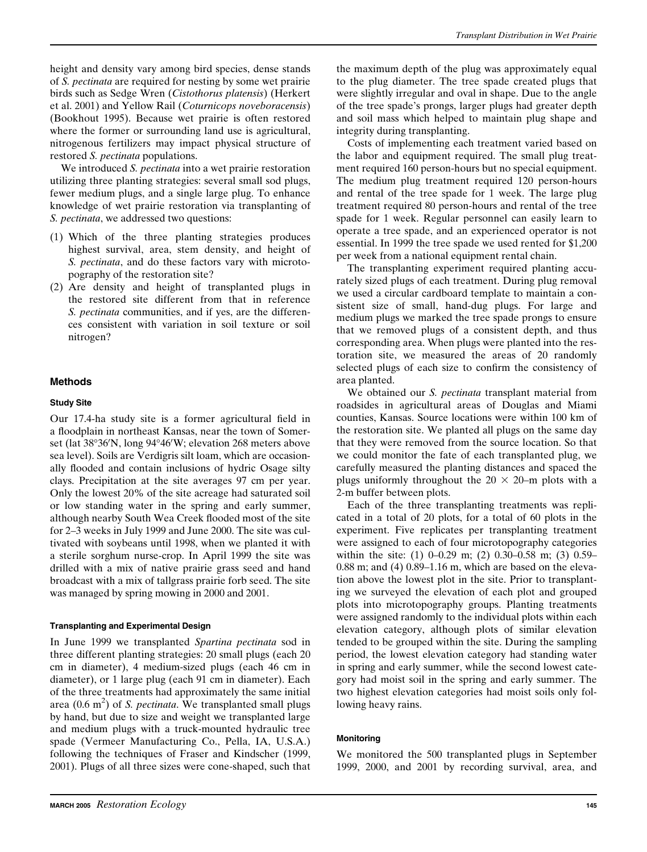height and density vary among bird species, dense stands of S. pectinata are required for nesting by some wet prairie birds such as Sedge Wren (Cistothorus platensis) (Herkert et al. 2001) and Yellow Rail (Coturnicops noveboracensis) (Bookhout 1995). Because wet prairie is often restored where the former or surrounding land use is agricultural, nitrogenous fertilizers may impact physical structure of restored S. pectinata populations.

We introduced S. pectinata into a wet prairie restoration utilizing three planting strategies: several small sod plugs, fewer medium plugs, and a single large plug. To enhance knowledge of wet prairie restoration via transplanting of S. pectinata, we addressed two questions:

- (1) Which of the three planting strategies produces highest survival, area, stem density, and height of S. pectinata, and do these factors vary with microtopography of the restoration site?
- (2) Are density and height of transplanted plugs in the restored site different from that in reference S. pectinata communities, and if yes, are the differences consistent with variation in soil texture or soil nitrogen?

## Methods

#### Study Site

Our 17.4-ha study site is a former agricultural field in a floodplain in northeast Kansas, near the town of Somerset (lat 38°36'N, long 94°46'W; elevation 268 meters above sea level). Soils are Verdigris silt loam, which are occasionally flooded and contain inclusions of hydric Osage silty clays. Precipitation at the site averages 97 cm per year. Only the lowest 20% of the site acreage had saturated soil or low standing water in the spring and early summer, although nearby South Wea Creek flooded most of the site for 2–3 weeks in July 1999 and June 2000. The site was cultivated with soybeans until 1998, when we planted it with a sterile sorghum nurse-crop. In April 1999 the site was drilled with a mix of native prairie grass seed and hand broadcast with a mix of tallgrass prairie forb seed. The site was managed by spring mowing in 2000 and 2001.

#### Transplanting and Experimental Design

In June 1999 we transplanted Spartina pectinata sod in three different planting strategies: 20 small plugs (each 20 cm in diameter), 4 medium-sized plugs (each 46 cm in diameter), or 1 large plug (each 91 cm in diameter). Each of the three treatments had approximately the same initial area  $(0.6 \text{ m}^2)$  of *S. pectinata*. We transplanted small plugs by hand, but due to size and weight we transplanted large and medium plugs with a truck-mounted hydraulic tree spade (Vermeer Manufacturing Co., Pella, IA, U.S.A.) following the techniques of Fraser and Kindscher (1999, 2001). Plugs of all three sizes were cone-shaped, such that the maximum depth of the plug was approximately equal to the plug diameter. The tree spade created plugs that were slightly irregular and oval in shape. Due to the angle of the tree spade's prongs, larger plugs had greater depth and soil mass which helped to maintain plug shape and integrity during transplanting.

Costs of implementing each treatment varied based on the labor and equipment required. The small plug treatment required 160 person-hours but no special equipment. The medium plug treatment required 120 person-hours and rental of the tree spade for 1 week. The large plug treatment required 80 person-hours and rental of the tree spade for 1 week. Regular personnel can easily learn to operate a tree spade, and an experienced operator is not essential. In 1999 the tree spade we used rented for \$1,200 per week from a national equipment rental chain.

The transplanting experiment required planting accurately sized plugs of each treatment. During plug removal we used a circular cardboard template to maintain a consistent size of small, hand-dug plugs. For large and medium plugs we marked the tree spade prongs to ensure that we removed plugs of a consistent depth, and thus corresponding area. When plugs were planted into the restoration site, we measured the areas of 20 randomly selected plugs of each size to confirm the consistency of area planted.

We obtained our *S. pectinata* transplant material from roadsides in agricultural areas of Douglas and Miami counties, Kansas. Source locations were within 100 km of the restoration site. We planted all plugs on the same day that they were removed from the source location. So that we could monitor the fate of each transplanted plug, we carefully measured the planting distances and spaced the plugs uniformly throughout the  $20 \times 20$ –m plots with a 2-m buffer between plots.

Each of the three transplanting treatments was replicated in a total of 20 plots, for a total of 60 plots in the experiment. Five replicates per transplanting treatment were assigned to each of four microtopography categories within the site: (1) 0–0.29 m; (2) 0.30–0.58 m; (3) 0.59–  $0.88$  m; and  $(4)$   $0.89-1.16$  m, which are based on the elevation above the lowest plot in the site. Prior to transplanting we surveyed the elevation of each plot and grouped plots into microtopography groups. Planting treatments were assigned randomly to the individual plots within each elevation category, although plots of similar elevation tended to be grouped within the site. During the sampling period, the lowest elevation category had standing water in spring and early summer, while the second lowest category had moist soil in the spring and early summer. The two highest elevation categories had moist soils only following heavy rains.

## **Monitoring**

We monitored the 500 transplanted plugs in September 1999, 2000, and 2001 by recording survival, area, and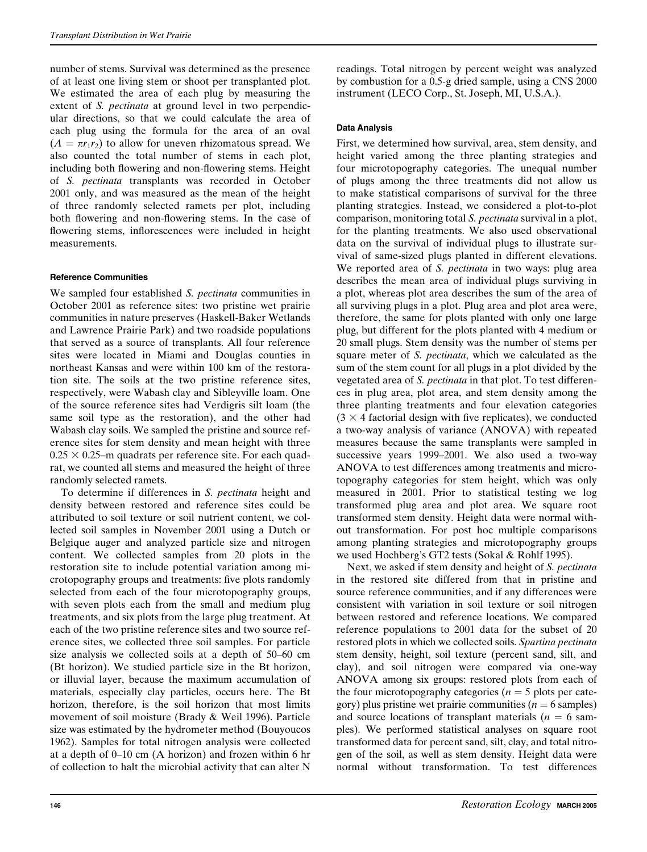number of stems. Survival was determined as the presence of at least one living stem or shoot per transplanted plot. We estimated the area of each plug by measuring the extent of S. pectinata at ground level in two perpendicular directions, so that we could calculate the area of each plug using the formula for the area of an oval  $(A = \pi r_1 r_2)$  to allow for uneven rhizomatous spread. We also counted the total number of stems in each plot, including both flowering and non-flowering stems. Height of S. pectinata transplants was recorded in October 2001 only, and was measured as the mean of the height of three randomly selected ramets per plot, including both flowering and non-flowering stems. In the case of flowering stems, inflorescences were included in height measurements.

## Reference Communities

We sampled four established *S. pectinata* communities in October 2001 as reference sites: two pristine wet prairie communities in nature preserves (Haskell-Baker Wetlands and Lawrence Prairie Park) and two roadside populations that served as a source of transplants. All four reference sites were located in Miami and Douglas counties in northeast Kansas and were within 100 km of the restoration site. The soils at the two pristine reference sites, respectively, were Wabash clay and Sibleyville loam. One of the source reference sites had Verdigris silt loam (the same soil type as the restoration), and the other had Wabash clay soils. We sampled the pristine and source reference sites for stem density and mean height with three  $0.25 \times 0.25$ –m quadrats per reference site. For each quadrat, we counted all stems and measured the height of three randomly selected ramets.

To determine if differences in S. pectinata height and density between restored and reference sites could be attributed to soil texture or soil nutrient content, we collected soil samples in November 2001 using a Dutch or Belgique auger and analyzed particle size and nitrogen content. We collected samples from 20 plots in the restoration site to include potential variation among microtopography groups and treatments: five plots randomly selected from each of the four microtopography groups, with seven plots each from the small and medium plug treatments, and six plots from the large plug treatment. At each of the two pristine reference sites and two source reference sites, we collected three soil samples. For particle size analysis we collected soils at a depth of 50–60 cm (Bt horizon). We studied particle size in the Bt horizon, or illuvial layer, because the maximum accumulation of materials, especially clay particles, occurs here. The Bt horizon, therefore, is the soil horizon that most limits movement of soil moisture (Brady & Weil 1996). Particle size was estimated by the hydrometer method (Bouyoucos 1962). Samples for total nitrogen analysis were collected at a depth of 0–10 cm (A horizon) and frozen within 6 hr of collection to halt the microbial activity that can alter N

readings. Total nitrogen by percent weight was analyzed by combustion for a 0.5-g dried sample, using a CNS 2000 instrument (LECO Corp., St. Joseph, MI, U.S.A.).

## Data Analysis

First, we determined how survival, area, stem density, and height varied among the three planting strategies and four microtopography categories. The unequal number of plugs among the three treatments did not allow us to make statistical comparisons of survival for the three planting strategies. Instead, we considered a plot-to-plot comparison, monitoring total S. pectinata survival in a plot, for the planting treatments. We also used observational data on the survival of individual plugs to illustrate survival of same-sized plugs planted in different elevations. We reported area of S. pectinata in two ways: plug area describes the mean area of individual plugs surviving in a plot, whereas plot area describes the sum of the area of all surviving plugs in a plot. Plug area and plot area were, therefore, the same for plots planted with only one large plug, but different for the plots planted with 4 medium or 20 small plugs. Stem density was the number of stems per square meter of S. pectinata, which we calculated as the sum of the stem count for all plugs in a plot divided by the vegetated area of S. pectinata in that plot. To test differences in plug area, plot area, and stem density among the three planting treatments and four elevation categories  $(3 \times 4)$  factorial design with five replicates), we conducted a two-way analysis of variance (ANOVA) with repeated measures because the same transplants were sampled in successive years 1999–2001. We also used a two-way ANOVA to test differences among treatments and microtopography categories for stem height, which was only measured in 2001. Prior to statistical testing we log transformed plug area and plot area. We square root transformed stem density. Height data were normal without transformation. For post hoc multiple comparisons among planting strategies and microtopography groups we used Hochberg's GT2 tests (Sokal & Rohlf 1995).

Next, we asked if stem density and height of S. pectinata in the restored site differed from that in pristine and source reference communities, and if any differences were consistent with variation in soil texture or soil nitrogen between restored and reference locations. We compared reference populations to 2001 data for the subset of 20 restored plots in which we collected soils. Spartina pectinata stem density, height, soil texture (percent sand, silt, and clay), and soil nitrogen were compared via one-way ANOVA among six groups: restored plots from each of the four microtopography categories ( $n = 5$  plots per category) plus pristine wet prairie communities ( $n = 6$  samples) and source locations of transplant materials ( $n = 6$  samples). We performed statistical analyses on square root transformed data for percent sand, silt, clay, and total nitrogen of the soil, as well as stem density. Height data were normal without transformation. To test differences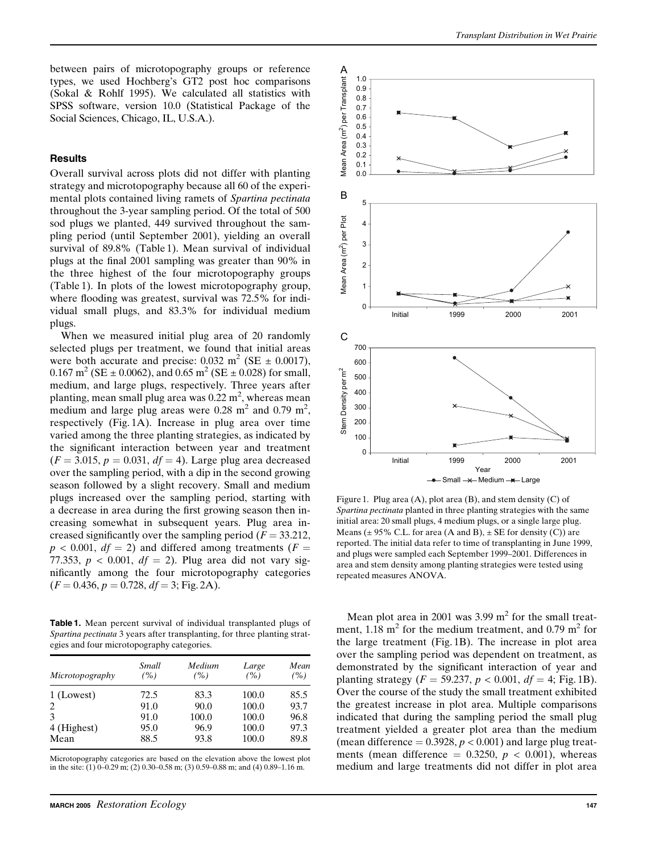between pairs of microtopography groups or reference types, we used Hochberg's GT2 post hoc comparisons (Sokal & Rohlf 1995). We calculated all statistics with SPSS software, version 10.0 (Statistical Package of the Social Sciences, Chicago, IL, U.S.A.).

### **Results**

Overall survival across plots did not differ with planting strategy and microtopography because all 60 of the experimental plots contained living ramets of Spartina pectinata throughout the 3-year sampling period. Of the total of 500 sod plugs we planted, 449 survived throughout the sampling period (until September 2001), yielding an overall survival of 89.8% (Table 1). Mean survival of individual plugs at the final 2001 sampling was greater than 90% in the three highest of the four microtopography groups (Table 1). In plots of the lowest microtopography group, where flooding was greatest, survival was 72.5% for individual small plugs, and 83.3% for individual medium plugs.

When we measured initial plug area of 20 randomly selected plugs per treatment, we found that initial areas were both accurate and precise:  $0.032 \text{ m}^2$  (SE  $\pm$  0.0017),  $0.167 \text{ m}^2 (\text{SE} \pm 0.0062)$ , and  $0.65 \text{ m}^2 (\text{SE} \pm 0.028)$  for small, medium, and large plugs, respectively. Three years after planting, mean small plug area was  $0.22 \text{ m}^2$ , whereas mean medium and large plug areas were  $0.28 \text{ m}^2$  and  $0.79 \text{ m}^2$ , respectively (Fig. 1A). Increase in plug area over time varied among the three planting strategies, as indicated by the significant interaction between year and treatment  $(F = 3.015, p = 0.031, df = 4)$ . Large plug area decreased over the sampling period, with a dip in the second growing season followed by a slight recovery. Small and medium plugs increased over the sampling period, starting with a decrease in area during the first growing season then increasing somewhat in subsequent years. Plug area increased significantly over the sampling period ( $F = 33.212$ ,  $p < 0.001$ ,  $df = 2$ ) and differed among treatments (F = 77.353,  $p < 0.001$ ,  $df = 2$ ). Plug area did not vary significantly among the four microtopography categories  $(F = 0.436, p = 0.728, df = 3; Fig. 2A).$ 

Table 1. Mean percent survival of individual transplanted plugs of Spartina pectinata 3 years after transplanting, for three planting strategies and four microtopography categories.

| Microtopography     | Small<br>(%) | Medium<br>(%) | Large<br>(%)   | Mean<br>(%)  |
|---------------------|--------------|---------------|----------------|--------------|
| 1 (Lowest)          | 72.5         | 83.3          | 100.0          | 85.5         |
| 2                   | 91.0         | 90.0          | 100.0          | 93.7         |
| 3                   | 91.0         | 100.0         | 100.0          | 96.8         |
| 4 (Highest)<br>Mean | 95.0<br>88.5 | 96.9<br>93.8  | 100.0<br>100.0 | 97.3<br>89.8 |

Microtopography categories are based on the elevation above the lowest plot in the site: (1) 0–0.29 m; (2) 0.30–0.58 m; (3) 0.59–0.88 m; and (4) 0.89–1.16 m.



Figure 1. Plug area  $(A)$ , plot area  $(B)$ , and stem density  $(C)$  of Spartina pectinata planted in three planting strategies with the same initial area: 20 small plugs, 4 medium plugs, or a single large plug. Means ( $\pm$  95% C.L. for area (A and B),  $\pm$  SE for density (C)) are reported. The initial data refer to time of transplanting in June 1999, and plugs were sampled each September 1999–2001. Differences in area and stem density among planting strategies were tested using repeated measures ANOVA.

Mean plot area in 2001 was  $3.99 \text{ m}^2$  for the small treatment,  $1.18 \text{ m}^2$  for the medium treatment, and 0.79 m<sup>2</sup> for the large treatment (Fig. 1B). The increase in plot area over the sampling period was dependent on treatment, as demonstrated by the significant interaction of year and planting strategy ( $F = 59.237$ ,  $p < 0.001$ ,  $df = 4$ ; Fig. 1B). Over the course of the study the small treatment exhibited the greatest increase in plot area. Multiple comparisons indicated that during the sampling period the small plug treatment yielded a greater plot area than the medium (mean difference  $= 0.3928, p < 0.001$ ) and large plug treatments (mean difference  $= 0.3250, p < 0.001$ ), whereas medium and large treatments did not differ in plot area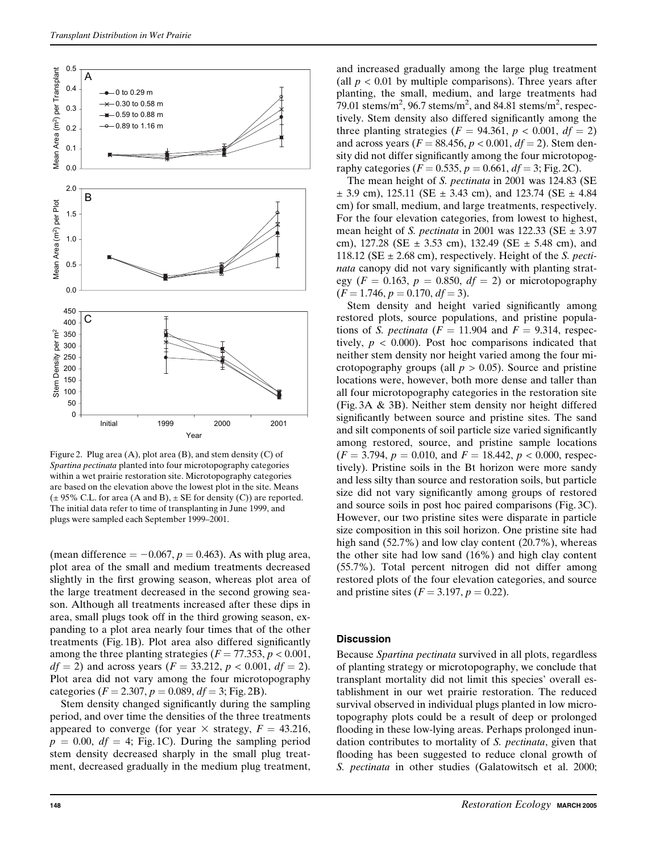

Figure 2. Plug area (A), plot area (B), and stem density (C) of Spartina pectinata planted into four microtopography categories within a wet prairie restoration site. Microtopography categories are based on the elevation above the lowest plot in the site. Means  $(\pm 95\%$  C.L. for area (A and B),  $\pm$  SE for density (C)) are reported. The initial data refer to time of transplanting in June 1999, and plugs were sampled each September 1999–2001.

(mean difference  $= -0.067$ ,  $p = 0.463$ ). As with plug area, plot area of the small and medium treatments decreased slightly in the first growing season, whereas plot area of the large treatment decreased in the second growing season. Although all treatments increased after these dips in area, small plugs took off in the third growing season, expanding to a plot area nearly four times that of the other treatments (Fig. 1B). Plot area also differed significantly among the three planting strategies ( $F = 77.353$ ,  $p < 0.001$ ,  $df = 2$ ) and across years ( $F = 33.212$ ,  $p < 0.001$ ,  $df = 2$ ). Plot area did not vary among the four microtopography categories ( $F = 2.307$ ,  $p = 0.089$ ,  $df = 3$ ; Fig. 2B).

Stem density changed significantly during the sampling period, and over time the densities of the three treatments appeared to converge (for year  $\times$  strategy,  $F = 43.216$ ,  $p = 0.00$ ,  $df = 4$ ; Fig. 1C). During the sampling period stem density decreased sharply in the small plug treatment, decreased gradually in the medium plug treatment, and increased gradually among the large plug treatment (all  $p < 0.01$  by multiple comparisons). Three years after planting, the small, medium, and large treatments had 79.01 stems/m<sup>2</sup>, 96.7 stems/m<sup>2</sup>, and 84.81 stems/m<sup>2</sup>, respectively. Stem density also differed significantly among the three planting strategies ( $F = 94.361$ ,  $p < 0.001$ ,  $df = 2$ ) and across years ( $F = 88.456$ ,  $p < 0.001$ ,  $df = 2$ ). Stem density did not differ significantly among the four microtopography categories ( $F = 0.535$ ,  $p = 0.661$ ,  $df = 3$ ; Fig. 2C).

The mean height of *S. pectinata* in 2001 was 124.83 (SE  $\pm$  3.9 cm), 125.11 (SE  $\pm$  3.43 cm), and 123.74 (SE  $\pm$  4.84 cm) for small, medium, and large treatments, respectively. For the four elevation categories, from lowest to highest, mean height of S. pectinata in 2001 was 122.33 (SE  $\pm$  3.97 cm), 127.28 (SE  $\pm$  3.53 cm), 132.49 (SE  $\pm$  5.48 cm), and 118.12 (SE  $\pm$  2.68 cm), respectively. Height of the *S. pecti*nata canopy did not vary significantly with planting strategy ( $F = 0.163$ ,  $p = 0.850$ ,  $df = 2$ ) or microtopography  $(F = 1.746, p = 0.170, df = 3).$ 

Stem density and height varied significantly among restored plots, source populations, and pristine populations of S. pectinata ( $F = 11.904$  and  $F = 9.314$ , respectively,  $p < 0.000$ ). Post hoc comparisons indicated that neither stem density nor height varied among the four microtopography groups (all  $p > 0.05$ ). Source and pristine locations were, however, both more dense and taller than all four microtopography categories in the restoration site (Fig. 3A & 3B). Neither stem density nor height differed significantly between source and pristine sites. The sand and silt components of soil particle size varied significantly among restored, source, and pristine sample locations  $(F = 3.794, p = 0.010, \text{ and } F = 18.442, p < 0.000, \text{ respec-}$ tively). Pristine soils in the Bt horizon were more sandy and less silty than source and restoration soils, but particle size did not vary significantly among groups of restored and source soils in post hoc paired comparisons (Fig. 3C). However, our two pristine sites were disparate in particle size composition in this soil horizon. One pristine site had high sand (52.7%) and low clay content (20.7%), whereas the other site had low sand (16%) and high clay content (55.7%). Total percent nitrogen did not differ among restored plots of the four elevation categories, and source and pristine sites  $(F = 3.197, p = 0.22)$ .

#### **Discussion**

Because Spartina pectinata survived in all plots, regardless of planting strategy or microtopography, we conclude that transplant mortality did not limit this species' overall establishment in our wet prairie restoration. The reduced survival observed in individual plugs planted in low microtopography plots could be a result of deep or prolonged flooding in these low-lying areas. Perhaps prolonged inundation contributes to mortality of S. pectinata, given that flooding has been suggested to reduce clonal growth of S. pectinata in other studies (Galatowitsch et al. 2000;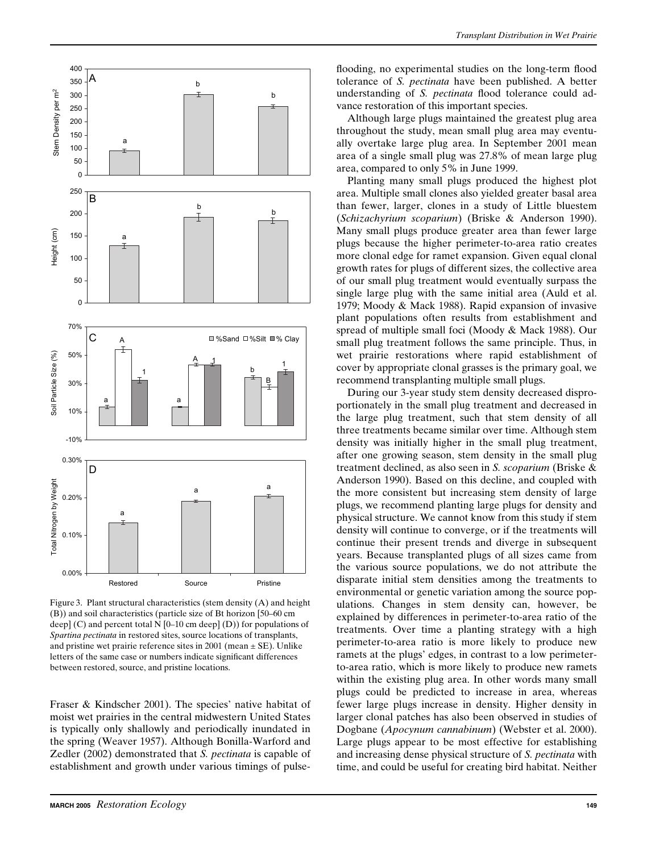

Figure 3. Plant structural characteristics (stem density (A) and height (B)) and soil characteristics (particle size of Bt horizon [50–60 cm deep] (C) and percent total N  $[0-10 \text{ cm}$  deep] (D)) for populations of Spartina pectinata in restored sites, source locations of transplants, and pristine wet prairie reference sites in 2001 (mean  $\pm$  SE). Unlike letters of the same case or numbers indicate significant differences between restored, source, and pristine locations.

Fraser & Kindscher 2001). The species' native habitat of moist wet prairies in the central midwestern United States is typically only shallowly and periodically inundated in the spring (Weaver 1957). Although Bonilla-Warford and Zedler (2002) demonstrated that S. pectinata is capable of establishment and growth under various timings of pulseflooding, no experimental studies on the long-term flood tolerance of S. pectinata have been published. A better understanding of S. pectinata flood tolerance could advance restoration of this important species.

Although large plugs maintained the greatest plug area throughout the study, mean small plug area may eventually overtake large plug area. In September 2001 mean area of a single small plug was 27.8% of mean large plug area, compared to only 5% in June 1999.

Planting many small plugs produced the highest plot area. Multiple small clones also yielded greater basal area than fewer, larger, clones in a study of Little bluestem (Schizachyrium scoparium) (Briske & Anderson 1990). Many small plugs produce greater area than fewer large plugs because the higher perimeter-to-area ratio creates more clonal edge for ramet expansion. Given equal clonal growth rates for plugs of different sizes, the collective area of our small plug treatment would eventually surpass the single large plug with the same initial area (Auld et al. 1979; Moody & Mack 1988). Rapid expansion of invasive plant populations often results from establishment and spread of multiple small foci (Moody & Mack 1988). Our small plug treatment follows the same principle. Thus, in wet prairie restorations where rapid establishment of cover by appropriate clonal grasses is the primary goal, we recommend transplanting multiple small plugs.

During our 3-year study stem density decreased disproportionately in the small plug treatment and decreased in the large plug treatment, such that stem density of all three treatments became similar over time. Although stem density was initially higher in the small plug treatment, after one growing season, stem density in the small plug treatment declined, as also seen in S. scoparium (Briske & Anderson 1990). Based on this decline, and coupled with the more consistent but increasing stem density of large plugs, we recommend planting large plugs for density and physical structure. We cannot know from this study if stem density will continue to converge, or if the treatments will continue their present trends and diverge in subsequent years. Because transplanted plugs of all sizes came from the various source populations, we do not attribute the disparate initial stem densities among the treatments to environmental or genetic variation among the source populations. Changes in stem density can, however, be explained by differences in perimeter-to-area ratio of the treatments. Over time a planting strategy with a high perimeter-to-area ratio is more likely to produce new ramets at the plugs' edges, in contrast to a low perimeterto-area ratio, which is more likely to produce new ramets within the existing plug area. In other words many small plugs could be predicted to increase in area, whereas fewer large plugs increase in density. Higher density in larger clonal patches has also been observed in studies of Dogbane (Apocynum cannabinum) (Webster et al. 2000). Large plugs appear to be most effective for establishing and increasing dense physical structure of S. pectinata with time, and could be useful for creating bird habitat. Neither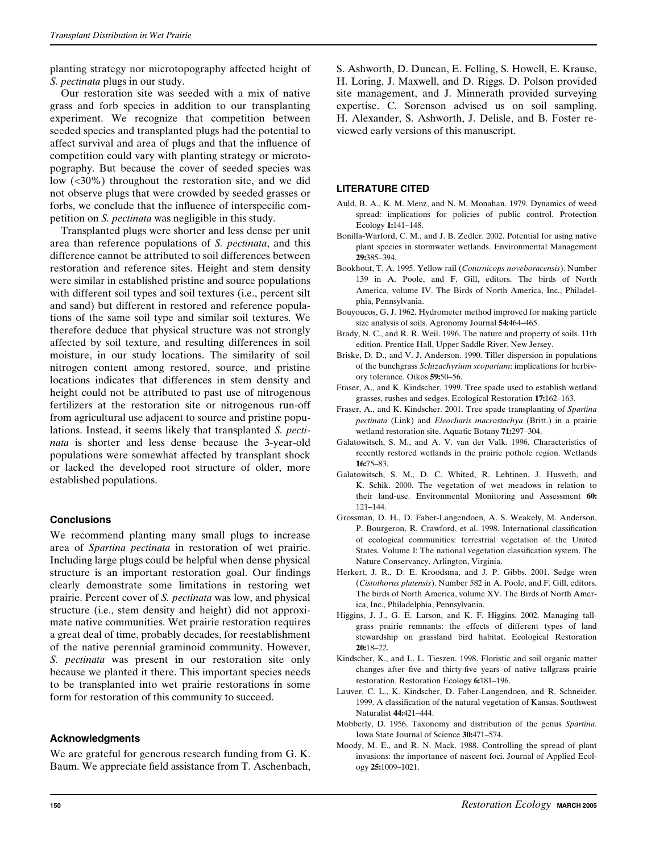planting strategy nor microtopography affected height of S. pectinata plugs in our study.

Our restoration site was seeded with a mix of native grass and forb species in addition to our transplanting experiment. We recognize that competition between seeded species and transplanted plugs had the potential to affect survival and area of plugs and that the influence of competition could vary with planting strategy or microtopography. But because the cover of seeded species was low (<30%) throughout the restoration site, and we did not observe plugs that were crowded by seeded grasses or forbs, we conclude that the influence of interspecific competition on S. pectinata was negligible in this study.

Transplanted plugs were shorter and less dense per unit area than reference populations of S. pectinata, and this difference cannot be attributed to soil differences between restoration and reference sites. Height and stem density were similar in established pristine and source populations with different soil types and soil textures (i.e., percent silt and sand) but different in restored and reference populations of the same soil type and similar soil textures. We therefore deduce that physical structure was not strongly affected by soil texture, and resulting differences in soil moisture, in our study locations. The similarity of soil nitrogen content among restored, source, and pristine locations indicates that differences in stem density and height could not be attributed to past use of nitrogenous fertilizers at the restoration site or nitrogenous run-off from agricultural use adjacent to source and pristine populations. Instead, it seems likely that transplanted S. pectinata is shorter and less dense because the 3-year-old populations were somewhat affected by transplant shock or lacked the developed root structure of older, more established populations.

#### **Conclusions**

We recommend planting many small plugs to increase area of Spartina pectinata in restoration of wet prairie. Including large plugs could be helpful when dense physical structure is an important restoration goal. Our findings clearly demonstrate some limitations in restoring wet prairie. Percent cover of S. pectinata was low, and physical structure (i.e., stem density and height) did not approximate native communities. Wet prairie restoration requires a great deal of time, probably decades, for reestablishment of the native perennial graminoid community. However, S. pectinata was present in our restoration site only because we planted it there. This important species needs to be transplanted into wet prairie restorations in some form for restoration of this community to succeed.

#### Acknowledgments

We are grateful for generous research funding from G. K. Baum. We appreciate field assistance from T. Aschenbach, S. Ashworth, D. Duncan, E. Felling, S. Howell, E. Krause, H. Loring, J. Maxwell, and D. Riggs. D. Polson provided site management, and J. Minnerath provided surveying expertise. C. Sorenson advised us on soil sampling. H. Alexander, S. Ashworth, J. Delisle, and B. Foster reviewed early versions of this manuscript.

#### LITERATURE CITED

- Auld, B. A., K. M. Menz, and N. M. Monahan. 1979. Dynamics of weed spread: implications for policies of public control. Protection Ecology 1:141–148.
- Bonilla-Warford, C. M., and J. B. Zedler. 2002. Potential for using native plant species in stormwater wetlands. Environmental Management 29:385–394.
- Bookhout, T. A. 1995. Yellow rail (Coturnicops noveboracensis). Number 139 in A. Poole, and F. Gill, editors. The birds of North America, volume IV. The Birds of North America, Inc., Philadelphia, Pennsylvania.
- Bouyoucos, G. J. 1962. Hydrometer method improved for making particle size analysis of soils. Agronomy Journal 54:464–465.
- Brady, N. C., and R. R. Weil. 1996. The nature and property of soils. 11th edition. Prentice Hall, Upper Saddle River, New Jersey.
- Briske, D. D., and V. J. Anderson. 1990. Tiller dispersion in populations of the bunchgrass Schizachyrium scoparium: implications for herbivory tolerance. Oikos 59:50–56.
- Fraser, A., and K. Kindscher. 1999. Tree spade used to establish wetland grasses, rushes and sedges. Ecological Restoration 17:162–163.
- Fraser, A., and K. Kindscher. 2001. Tree spade transplanting of Spartina pectinata (Link) and Eleocharis macrostachya (Britt.) in a prairie wetland restoration site. Aquatic Botany 71:297–304.
- Galatowitsch, S. M., and A. V. van der Valk. 1996. Characteristics of recently restored wetlands in the prairie pothole region. Wetlands 16:75–83.
- Galatowitsch, S. M., D. C. Whited, R. Lehtinen, J. Husveth, and K. Schik. 2000. The vegetation of wet meadows in relation to their land-use. Environmental Monitoring and Assessment 60: 121–144.
- Grossman, D. H., D. Faber-Langendoen, A. S. Weakely, M. Anderson, P. Bourgeron, R. Crawford, et al. 1998. International classification of ecological communities: terrestrial vegetation of the United States. Volume I: The national vegetation classification system. The Nature Conservancy, Arlington, Virginia.
- Herkert, J. R., D. E. Kroodsma, and J. P. Gibbs. 2001. Sedge wren (Cistothorus platensis). Number 582 in A. Poole, and F. Gill, editors. The birds of North America, volume XV. The Birds of North America, Inc., Philadelphia, Pennsylvania.
- Higgins, J. J., G. E. Larson, and K. F. Higgins. 2002. Managing tallgrass prairie remnants: the effects of different types of land stewardship on grassland bird habitat. Ecological Restoration 20:18–22.
- Kindscher, K., and L. L. Tieszen. 1998. Floristic and soil organic matter changes after five and thirty-five years of native tallgrass prairie restoration. Restoration Ecology 6:181–196.
- Lauver, C. L., K. Kindscher, D. Faber-Langendoen, and R. Schneider. 1999. A classification of the natural vegetation of Kansas. Southwest Naturalist 44:421–444.
- Mobberly, D. 1956. Taxonomy and distribution of the genus Spartina. Iowa State Journal of Science 30:471–574.
- Moody, M. E., and R. N. Mack. 1988. Controlling the spread of plant invasions: the importance of nascent foci. Journal of Applied Ecology 25:1009–1021.